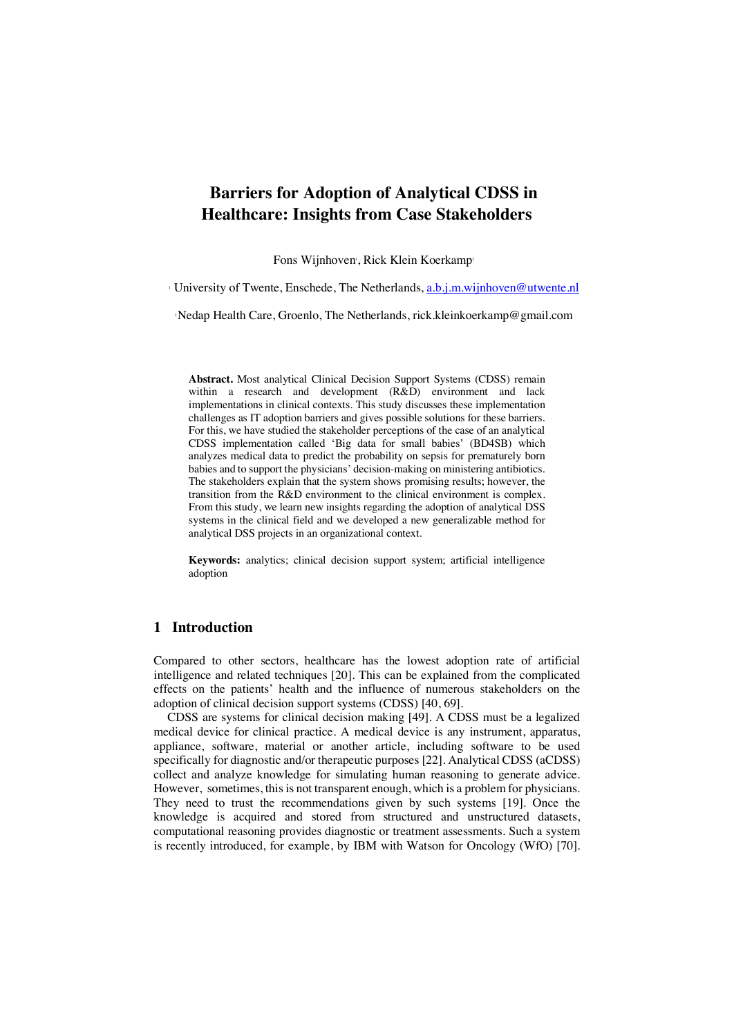# **Barriers for Adoption of Analytical CDSS in Healthcare: Insights from Case Stakeholders**

Fons Wijnhoven , Rick Klein Koerkamp

<sup>1</sup> University of Twente, Enschede, The Netherlands, a.b.j.m.wijnhoven@utwente.nl

2Nedap Health Care, Groenlo, The Netherlands, rick.kleinkoerkamp@gmail.com

**Abstract.** Most analytical Clinical Decision Support Systems (CDSS) remain within a research and development (R&D) environment and lack implementations in clinical contexts. This study discusses these implementation challenges as IT adoption barriers and gives possible solutions for these barriers. For this, we have studied the stakeholder perceptions of the case of an analytical CDSS implementation called 'Big data for small babies' (BD4SB) which analyzes medical data to predict the probability on sepsis for prematurely born babies and to support the physicians' decision-making on ministering antibiotics. The stakeholders explain that the system shows promising results; however, the transition from the R&D environment to the clinical environment is complex. From this study, we learn new insights regarding the adoption of analytical DSS systems in the clinical field and we developed a new generalizable method for analytical DSS projects in an organizational context.

**Keywords:** analytics; clinical decision support system; artificial intelligence adoption

# **1 Introduction**

Compared to other sectors, healthcare has the lowest adoption rate of artificial intelligence and related techniques [20]. This can be explained from the complicated effects on the patients' health and the influence of numerous stakeholders on the adoption of clinical decision support systems (CDSS) [40, 69].

CDSS are systems for clinical decision making [49]. A CDSS must be a legalized medical device for clinical practice. A medical device is any instrument, apparatus, appliance, software, material or another article, including software to be used specifically for diagnostic and/or therapeutic purposes [22]. Analytical CDSS (aCDSS) collect and analyze knowledge for simulating human reasoning to generate advice. However, sometimes, this is not transparent enough, which is a problem for physicians. They need to trust the recommendations given by such systems [19]. Once the knowledge is acquired and stored from structured and unstructured datasets, computational reasoning provides diagnostic or treatment assessments. Such a system is recently introduced, for example, by IBM with Watson for Oncology (WfO) [70].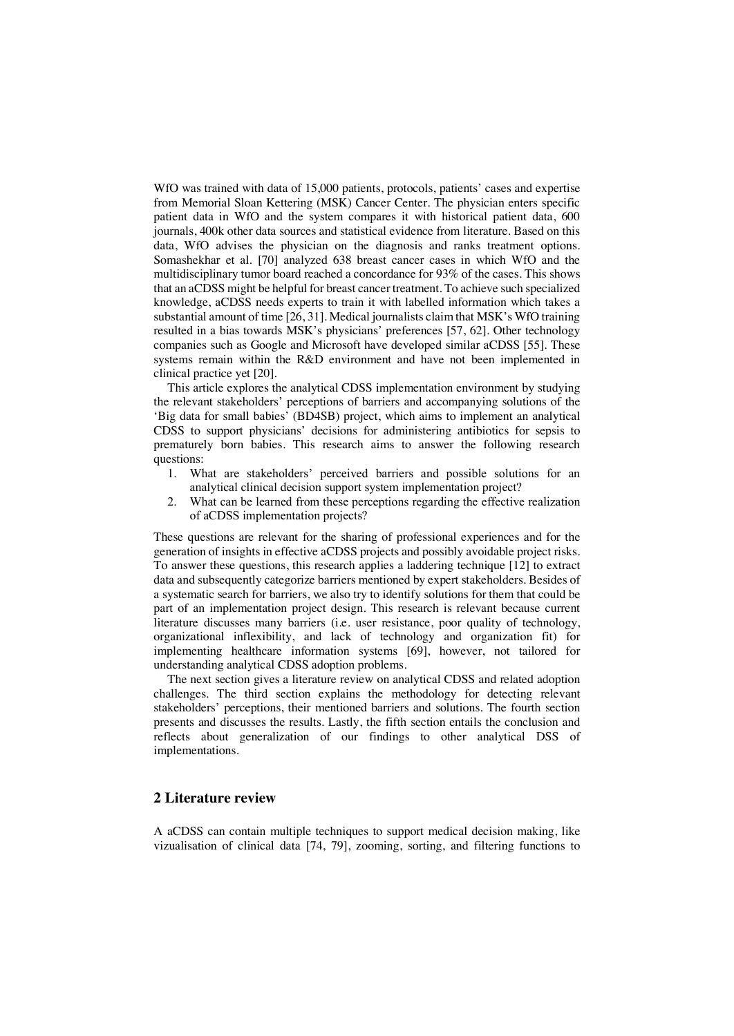WfO was trained with data of 15,000 patients, protocols, patients' cases and expertise from Memorial Sloan Kettering (MSK) Cancer Center. The physician enters specific patient data in WfO and the system compares it with historical patient data, 600 journals, 400k other data sources and statistical evidence from literature. Based on this data, WfO advises the physician on the diagnosis and ranks treatment options. Somashekhar et al. [70] analyzed 638 breast cancer cases in which WfO and the multidisciplinary tumor board reached a concordance for 93% of the cases. This shows that an aCDSS might be helpful for breast cancer treatment. To achieve such specialized knowledge, aCDSS needs experts to train it with labelled information which takes a substantial amount of time [26, 31]. Medical journalists claim that MSK's WfO training resulted in a bias towards MSK's physicians' preferences [57, 62]. Other technology companies such as Google and Microsoft have developed similar aCDSS [55]. These systems remain within the R&D environment and have not been implemented in clinical practice yet [20].

This article explores the analytical CDSS implementation environment by studying the relevant stakeholders' perceptions of barriers and accompanying solutions of the 'Big data for small babies' (BD4SB) project, which aims to implement an analytical CDSS to support physicians' decisions for administering antibiotics for sepsis to prematurely born babies. This research aims to answer the following research questions:

- 1. What are stakeholders' perceived barriers and possible solutions for an analytical clinical decision support system implementation project?
- 2. What can be learned from these perceptions regarding the effective realization of aCDSS implementation projects?

These questions are relevant for the sharing of professional experiences and for the generation of insights in effective aCDSS projects and possibly avoidable project risks. To answer these questions, this research applies a laddering technique [12] to extract data and subsequently categorize barriers mentioned by expert stakeholders. Besides of a systematic search for barriers, we also try to identify solutions for them that could be part of an implementation project design. This research is relevant because current literature discusses many barriers (i.e. user resistance, poor quality of technology, organizational inflexibility, and lack of technology and organization fit) for implementing healthcare information systems [69], however, not tailored for understanding analytical CDSS adoption problems.

The next section gives a literature review on analytical CDSS and related adoption challenges. The third section explains the methodology for detecting relevant stakeholders' perceptions, their mentioned barriers and solutions. The fourth section presents and discusses the results. Lastly, the fifth section entails the conclusion and reflects about generalization of our findings to other analytical DSS of implementations.

# **2 Literature review**

A aCDSS can contain multiple techniques to support medical decision making, like vizualisation of clinical data [74, 79], zooming, sorting, and filtering functions to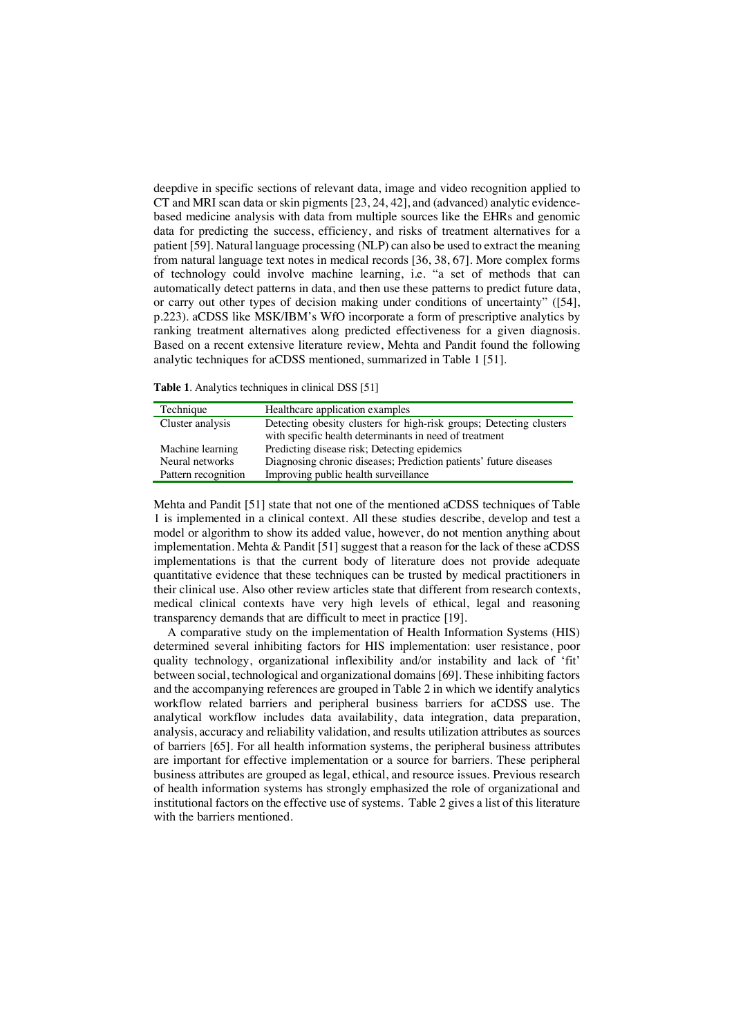deepdive in specific sections of relevant data, image and video recognition applied to CT and MRI scan data or skin pigments [23, 24, 42], and (advanced) analytic evidencebased medicine analysis with data from multiple sources like the EHRs and genomic data for predicting the success, efficiency, and risks of treatment alternatives for a patient [59]. Natural language processing (NLP) can also be used to extract the meaning from natural language text notes in medical records [36, 38, 67]. More complex forms of technology could involve machine learning, i.e. "a set of methods that can automatically detect patterns in data, and then use these patterns to predict future data, or carry out other types of decision making under conditions of uncertainty" ([54], p.223). aCDSS like MSK/IBM's WfO incorporate a form of prescriptive analytics by ranking treatment alternatives along predicted effectiveness for a given diagnosis. Based on a recent extensive literature review, Mehta and Pandit found the following analytic techniques for aCDSS mentioned, summarized in Table 1 [51].

**Table 1**. Analytics techniques in clinical DSS [51]

| Technique           | Healthcare application examples                                     |
|---------------------|---------------------------------------------------------------------|
| Cluster analysis    | Detecting obesity clusters for high-risk groups; Detecting clusters |
|                     | with specific health determinants in need of treatment              |
| Machine learning    | Predicting disease risk; Detecting epidemics                        |
| Neural networks     | Diagnosing chronic diseases; Prediction patients' future diseases   |
| Pattern recognition | Improving public health surveillance                                |

Mehta and Pandit [51] state that not one of the mentioned aCDSS techniques of Table 1 is implemented in a clinical context. All these studies describe, develop and test a model or algorithm to show its added value, however, do not mention anything about implementation. Mehta & Pandit [51] suggest that a reason for the lack of these aCDSS implementations is that the current body of literature does not provide adequate quantitative evidence that these techniques can be trusted by medical practitioners in their clinical use. Also other review articles state that different from research contexts, medical clinical contexts have very high levels of ethical, legal and reasoning transparency demands that are difficult to meet in practice [19].

A comparative study on the implementation of Health Information Systems (HIS) determined several inhibiting factors for HIS implementation: user resistance, poor quality technology, organizational inflexibility and/or instability and lack of 'fit' between social, technological and organizational domains [69]. These inhibiting factors and the accompanying references are grouped in Table 2 in which we identify analytics workflow related barriers and peripheral business barriers for aCDSS use. The analytical workflow includes data availability, data integration, data preparation, analysis, accuracy and reliability validation, and results utilization attributes as sources of barriers [65]. For all health information systems, the peripheral business attributes are important for effective implementation or a source for barriers. These peripheral business attributes are grouped as legal, ethical, and resource issues. Previous research of health information systems has strongly emphasized the role of organizational and institutional factors on the effective use of systems. Table 2 gives a list of this literature with the barriers mentioned.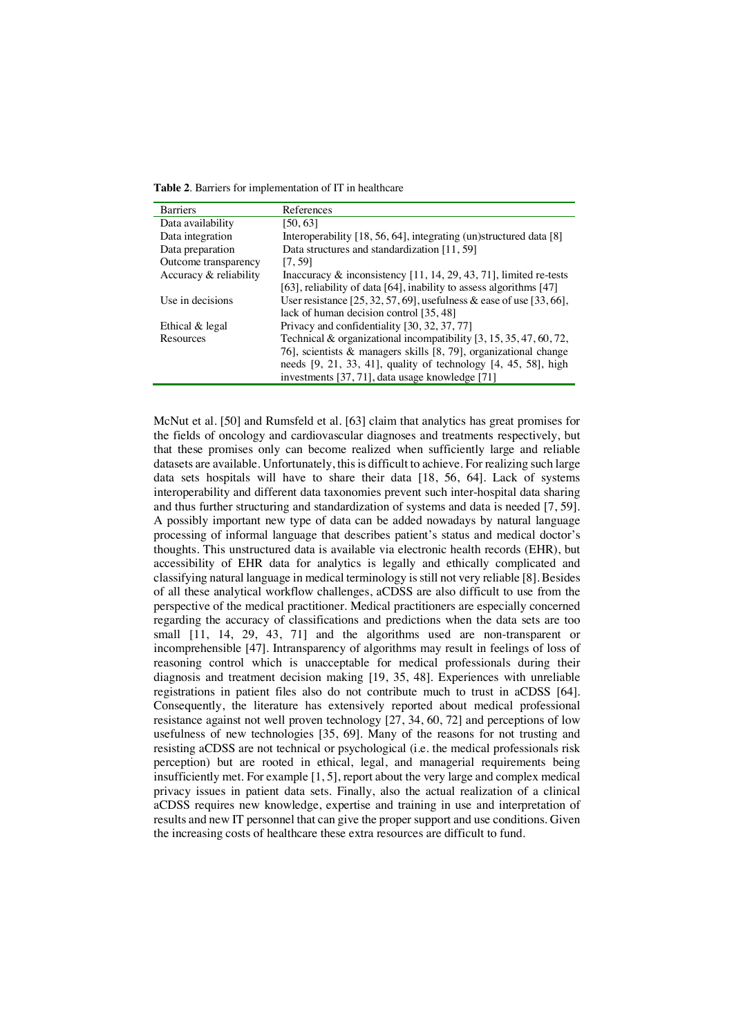**Table 2**. Barriers for implementation of IT in healthcare

| <b>Barriers</b>        | References                                                            |
|------------------------|-----------------------------------------------------------------------|
| Data availability      | [50,63]                                                               |
| Data integration       | Interoperability [18, 56, 64], integrating (un)structured data [8]    |
| Data preparation       | Data structures and standardization [11, 59]                          |
| Outcome transparency   | [7, 59]                                                               |
| Accuracy & reliability | Inaccuracy $\&$ inconsistency [11, 14, 29, 43, 71], limited re-tests  |
|                        | [63], reliability of data [64], inability to assess algorithms $[47]$ |
| Use in decisions       | User resistance [25, 32, 57, 69], usefulness & ease of use [33, 66],  |
|                        | lack of human decision control [35, 48]                               |
| Ethical & legal        | Privacy and confidentiality [30, 32, 37, 77]                          |
| Resources              | Technical & organizational incompatibility $[3, 15, 35, 47, 60, 72,$  |
|                        | 76], scientists $\&$ managers skills [8, 79], organizational change   |
|                        | needs $[9, 21, 33, 41]$ , quality of technology $[4, 45, 58]$ , high  |
|                        | investments [37, 71], data usage knowledge [71]                       |

McNut et al. [50] and Rumsfeld et al. [63] claim that analytics has great promises for the fields of oncology and cardiovascular diagnoses and treatments respectively, but that these promises only can become realized when sufficiently large and reliable datasets are available. Unfortunately, this is difficult to achieve. For realizing such large data sets hospitals will have to share their data [18, 56, 64]. Lack of systems interoperability and different data taxonomies prevent such inter-hospital data sharing and thus further structuring and standardization of systems and data is needed [7, 59]. A possibly important new type of data can be added nowadays by natural language processing of informal language that describes patient's status and medical doctor's thoughts. This unstructured data is available via electronic health records (EHR), but accessibility of EHR data for analytics is legally and ethically complicated and classifying natural language in medical terminology is still not very reliable [8]. Besides of all these analytical workflow challenges, aCDSS are also difficult to use from the perspective of the medical practitioner. Medical practitioners are especially concerned regarding the accuracy of classifications and predictions when the data sets are too small [11, 14, 29, 43, 71] and the algorithms used are non-transparent or incomprehensible [47]. Intransparency of algorithms may result in feelings of loss of reasoning control which is unacceptable for medical professionals during their diagnosis and treatment decision making [19, 35, 48]. Experiences with unreliable registrations in patient files also do not contribute much to trust in aCDSS [64]. Consequently, the literature has extensively reported about medical professional resistance against not well proven technology [27, 34, 60, 72] and perceptions of low usefulness of new technologies [35, 69]. Many of the reasons for not trusting and resisting aCDSS are not technical or psychological (i.e. the medical professionals risk perception) but are rooted in ethical, legal, and managerial requirements being insufficiently met. For example [1, 5], report about the very large and complex medical privacy issues in patient data sets. Finally, also the actual realization of a clinical aCDSS requires new knowledge, expertise and training in use and interpretation of results and new IT personnel that can give the proper support and use conditions. Given the increasing costs of healthcare these extra resources are difficult to fund.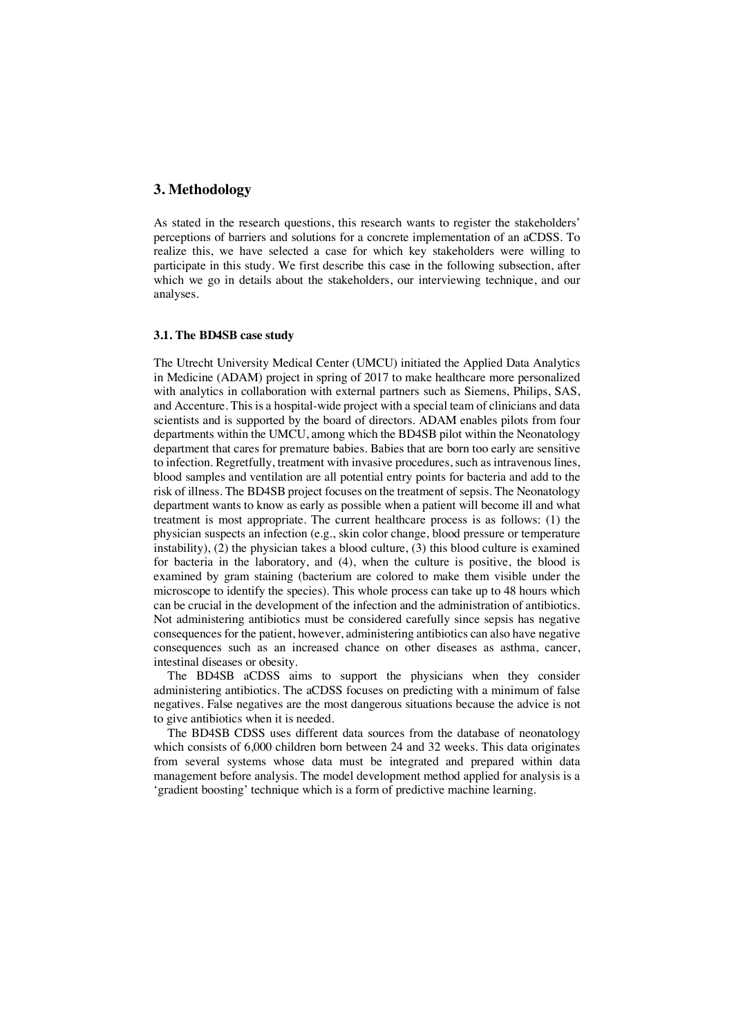# **3. Methodology**

As stated in the research questions, this research wants to register the stakeholders' perceptions of barriers and solutions for a concrete implementation of an aCDSS. To realize this, we have selected a case for which key stakeholders were willing to participate in this study. We first describe this case in the following subsection, after which we go in details about the stakeholders, our interviewing technique, and our analyses.

# **3.1. The BD4SB case study**

The Utrecht University Medical Center (UMCU) initiated the Applied Data Analytics in Medicine (ADAM) project in spring of 2017 to make healthcare more personalized with analytics in collaboration with external partners such as Siemens, Philips, SAS, and Accenture. This is a hospital-wide project with a special team of clinicians and data scientists and is supported by the board of directors. ADAM enables pilots from four departments within the UMCU, among which the BD4SB pilot within the Neonatology department that cares for premature babies. Babies that are born too early are sensitive to infection. Regretfully, treatment with invasive procedures, such as intravenous lines, blood samples and ventilation are all potential entry points for bacteria and add to the risk of illness. The BD4SB project focuses on the treatment of sepsis. The Neonatology department wants to know as early as possible when a patient will become ill and what treatment is most appropriate. The current healthcare process is as follows: (1) the physician suspects an infection (e.g., skin color change, blood pressure or temperature instability), (2) the physician takes a blood culture, (3) this blood culture is examined for bacteria in the laboratory, and (4), when the culture is positive, the blood is examined by gram staining (bacterium are colored to make them visible under the microscope to identify the species). This whole process can take up to 48 hours which can be crucial in the development of the infection and the administration of antibiotics. Not administering antibiotics must be considered carefully since sepsis has negative consequences for the patient, however, administering antibiotics can also have negative consequences such as an increased chance on other diseases as asthma, cancer, intestinal diseases or obesity.

The BD4SB aCDSS aims to support the physicians when they consider administering antibiotics. The aCDSS focuses on predicting with a minimum of false negatives. False negatives are the most dangerous situations because the advice is not to give antibiotics when it is needed.

The BD4SB CDSS uses different data sources from the database of neonatology which consists of 6,000 children born between 24 and 32 weeks. This data originates from several systems whose data must be integrated and prepared within data management before analysis. The model development method applied for analysis is a 'gradient boosting' technique which is a form of predictive machine learning.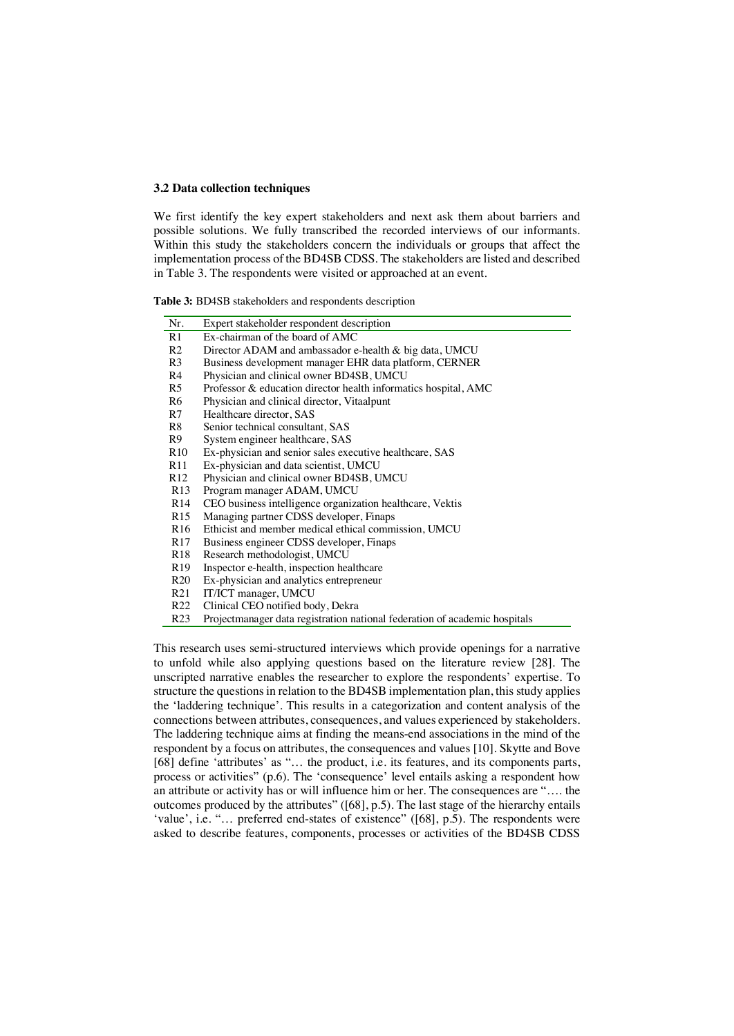#### **3.2 Data collection techniques**

We first identify the key expert stakeholders and next ask them about barriers and possible solutions. We fully transcribed the recorded interviews of our informants. Within this study the stakeholders concern the individuals or groups that affect the implementation process of the BD4SB CDSS. The stakeholders are listed and described in Table 3. The respondents were visited or approached at an event.

**Table 3:** BD4SB stakeholders and respondents description

| Nr.             | Expert stakeholder respondent description                                  |
|-----------------|----------------------------------------------------------------------------|
| R1              | Ex-chairman of the board of AMC                                            |
| R2              | Director ADAM and ambassador e-health & big data, UMCU                     |
| R3              | Business development manager EHR data platform, CERNER                     |
| R4              | Physician and clinical owner BD4SB, UMCU                                   |
| R5              | Professor & education director health informatics hospital, AMC            |
| R6              | Physician and clinical director, Vitaalpunt                                |
| R7              | Healthcare director, SAS                                                   |
| R8              | Senior technical consultant, SAS                                           |
| R9              | System engineer healthcare, SAS                                            |
| R <sub>10</sub> | Ex-physician and senior sales executive healthcare, SAS                    |
| R11             | Ex-physician and data scientist, UMCU                                      |
| R <sub>12</sub> | Physician and clinical owner BD4SB, UMCU                                   |
| R13             | Program manager ADAM, UMCU                                                 |
| R <sub>14</sub> | CEO business intelligence organization healthcare, Vektis                  |
| R <sub>15</sub> | Managing partner CDSS developer, Finaps                                    |
| R <sub>16</sub> | Ethicist and member medical ethical commission, UMCU                       |
| R <sub>17</sub> | Business engineer CDSS developer, Finaps                                   |
| R <sub>18</sub> | Research methodologist, UMCU                                               |
| R <sub>19</sub> | Inspector e-health, inspection healthcare                                  |
| R20             | Ex-physician and analytics entrepreneur                                    |
| R21             | IT/ICT manager, UMCU                                                       |
| R <sub>22</sub> | Clinical CEO notified body, Dekra                                          |
| R <sub>23</sub> | Projectmanager data registration national federation of academic hospitals |

This research uses semi-structured interviews which provide openings for a narrative to unfold while also applying questions based on the literature review [28]. The unscripted narrative enables the researcher to explore the respondents' expertise. To structure the questions in relation to the BD4SB implementation plan, this study applies the 'laddering technique'. This results in a categorization and content analysis of the connections between attributes, consequences, and values experienced by stakeholders. The laddering technique aims at finding the means-end associations in the mind of the respondent by a focus on attributes, the consequences and values [10]. Skytte and Bove [68] define 'attributes' as "... the product, i.e. its features, and its components parts, process or activities" (p.6). The 'consequence' level entails asking a respondent how an attribute or activity has or will influence him or her. The consequences are "…. the outcomes produced by the attributes" ([68], p.5). The last stage of the hierarchy entails 'value', i.e. "... preferred end-states of existence" ([68], p.5). The respondents were asked to describe features, components, processes or activities of the BD4SB CDSS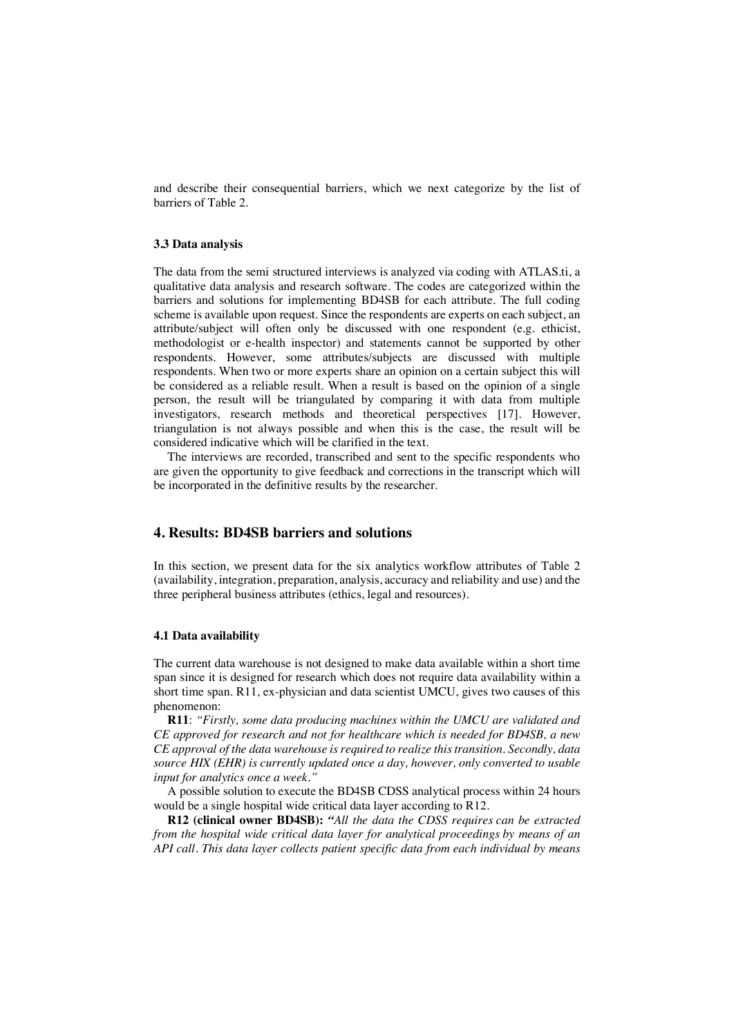and describe their consequential barriers, which we next categorize by the list of barriers of Table 2.

#### **3.3 Data analysis**

The data from the semi structured interviews is analyzed via coding with ATLAS.ti, a qualitative data analysis and research software. The codes are categorized within the barriers and solutions for implementing BD4SB for each attribute. The full coding scheme is available upon request. Since the respondents are experts on each subject, an attribute/subject will often only be discussed with one respondent (e.g. ethicist, methodologist or e-health inspector) and statements cannot be supported by other respondents. However, some attributes/subjects are discussed with multiple respondents. When two or more experts share an opinion on a certain subject this will be considered as a reliable result. When a result is based on the opinion of a single person, the result will be triangulated by comparing it with data from multiple investigators, research methods and theoretical perspectives [17]. However, triangulation is not always possible and when this is the case, the result will be considered indicative which will be clarified in the text.

The interviews are recorded, transcribed and sent to the specific respondents who are given the opportunity to give feedback and corrections in the transcript which will be incorporated in the definitive results by the researcher.

# **4. Results: BD4SB barriers and solutions**

In this section, we present data for the six analytics workflow attributes of Table 2 (availability, integration, preparation, analysis, accuracy and reliability and use) and the three peripheral business attributes (ethics, legal and resources).

### **4.1 Data availability**

The current data warehouse is not designed to make data available within a short time span since it is designed for research which does not require data availability within a short time span. R11, ex-physician and data scientist UMCU, gives two causes of this phenomenon:

**R11**: *"Firstly, some data producing machines within the UMCU are validated and CE approved for research and not for healthcare which is needed for BD4SB, a new CE approval of the data warehouse is required to realize this transition. Secondly, data source HIX (EHR) is currently updated once a day, however, only converted to usable input for analytics once a week."*

A possible solution to execute the BD4SB CDSS analytical process within 24 hours would be a single hospital wide critical data layer according to R12.

**R12 (clinical owner BD4SB):** *"All the data the CDSS requires can be extracted from the hospital wide critical data layer for analytical proceedings by means of an API call. This data layer collects patient specific data from each individual by means*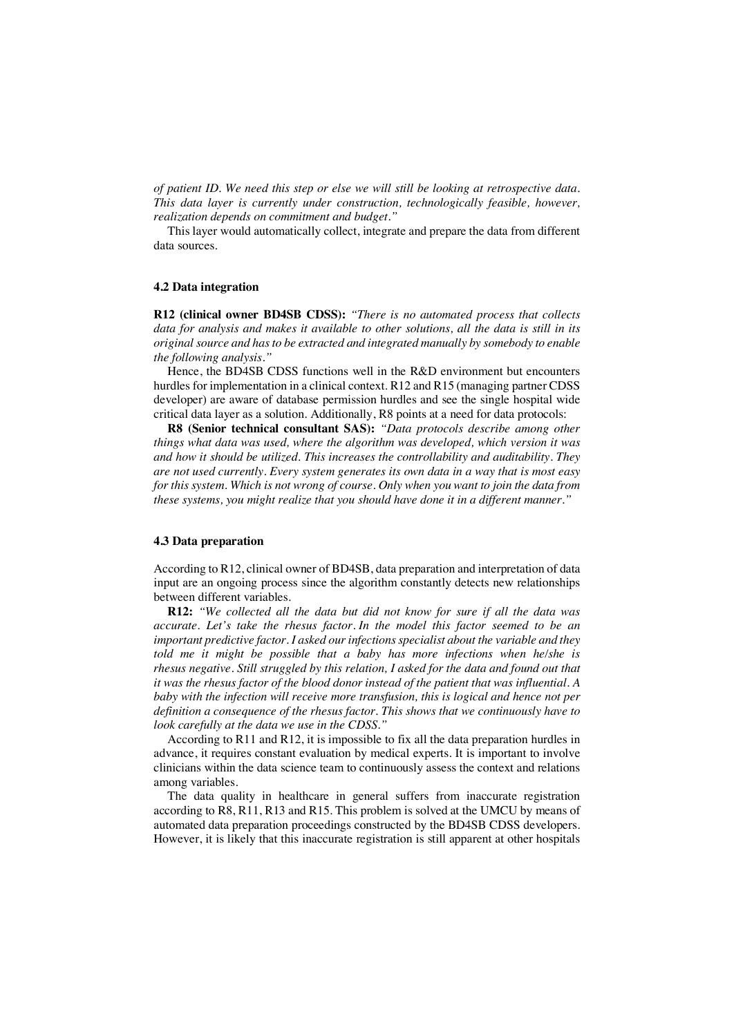*of patient ID. We need this step or else we will still be looking at retrospective data. This data layer is currently under construction, technologically feasible, however, realization depends on commitment and budget."*

This layer would automatically collect, integrate and prepare the data from different data sources.

# **4.2 Data integration**

**R12 (clinical owner BD4SB CDSS):** *"There is no automated process that collects data for analysis and makes it available to other solutions, all the data is still in its original source and has to be extracted and integrated manually by somebody to enable the following analysis."*

Hence, the BD4SB CDSS functions well in the R&D environment but encounters hurdles for implementation in a clinical context. R12 and R15 (managing partner CDSS developer) are aware of database permission hurdles and see the single hospital wide critical data layer as a solution. Additionally, R8 points at a need for data protocols:

**R8 (Senior technical consultant SAS):** *"Data protocols describe among other things what data was used, where the algorithm was developed, which version it was and how it should be utilized. This increases the controllability and auditability. They are not used currently. Every system generates its own data in a way that is most easy for this system. Which is not wrong of course. Only when you want to join the data from these systems, you might realize that you should have done it in a different manner."*

### **4.3 Data preparation**

According to R12, clinical owner of BD4SB, data preparation and interpretation of data input are an ongoing process since the algorithm constantly detects new relationships between different variables.

**R12:** *"We collected all the data but did not know for sure if all the data was accurate. Let's take the rhesus factor. In the model this factor seemed to be an important predictive factor. I asked our infections specialist about the variable and they told me it might be possible that a baby has more infections when he/she is rhesus negative. Still struggled by this relation, I asked for the data and found out that it was the rhesus factor of the blood donor instead of the patient that was influential. A baby with the infection will receive more transfusion, this is logical and hence not per definition a consequence of the rhesus factor. This shows that we continuously have to look carefully at the data we use in the CDSS."*

According to R11 and R12, it is impossible to fix all the data preparation hurdles in advance, it requires constant evaluation by medical experts. It is important to involve clinicians within the data science team to continuously assess the context and relations among variables.

The data quality in healthcare in general suffers from inaccurate registration according to R8, R11, R13 and R15. This problem is solved at the UMCU by means of automated data preparation proceedings constructed by the BD4SB CDSS developers. However, it is likely that this inaccurate registration is still apparent at other hospitals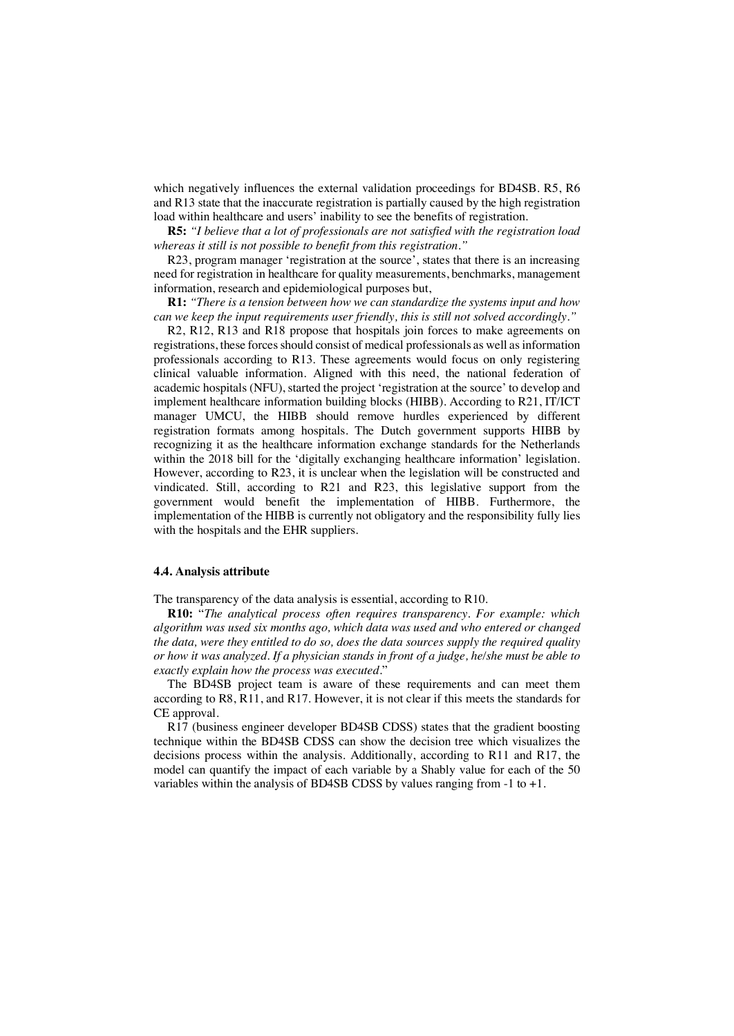which negatively influences the external validation proceedings for BD4SB. R5, R6 and R13 state that the inaccurate registration is partially caused by the high registration load within healthcare and users' inability to see the benefits of registration.

**R5:** *"I believe that a lot of professionals are not satisfied with the registration load whereas it still is not possible to benefit from this registration."*

R23, program manager 'registration at the source', states that there is an increasing need for registration in healthcare for quality measurements, benchmarks, management information, research and epidemiological purposes but,

**R1:** *"There is a tension between how we can standardize the systems input and how can we keep the input requirements user friendly, this is still not solved accordingly."* 

R2, R12, R13 and R18 propose that hospitals join forces to make agreements on registrations, these forces should consist of medical professionals as well as information professionals according to R13. These agreements would focus on only registering clinical valuable information. Aligned with this need, the national federation of academic hospitals (NFU), started the project 'registration at the source' to develop and implement healthcare information building blocks (HIBB). According to R21, IT/ICT manager UMCU, the HIBB should remove hurdles experienced by different registration formats among hospitals. The Dutch government supports HIBB by recognizing it as the healthcare information exchange standards for the Netherlands within the 2018 bill for the 'digitally exchanging healthcare information' legislation. However, according to R23, it is unclear when the legislation will be constructed and vindicated. Still, according to R21 and R23, this legislative support from the government would benefit the implementation of HIBB. Furthermore, the implementation of the HIBB is currently not obligatory and the responsibility fully lies with the hospitals and the EHR suppliers.

### **4.4. Analysis attribute**

The transparency of the data analysis is essential, according to R10.

**R10:** "*The analytical process often requires transparency. For example: which algorithm was used six months ago, which data was used and who entered or changed the data, were they entitled to do so, does the data sources supply the required quality or how it was analyzed. If a physician stands in front of a judge, he/she must be able to exactly explain how the process was executed.*"

The BD4SB project team is aware of these requirements and can meet them according to R8, R11, and R17. However, it is not clear if this meets the standards for CE approval.

R17 (business engineer developer BD4SB CDSS) states that the gradient boosting technique within the BD4SB CDSS can show the decision tree which visualizes the decisions process within the analysis. Additionally, according to R11 and R17, the model can quantify the impact of each variable by a Shably value for each of the 50 variables within the analysis of BD4SB CDSS by values ranging from  $-1$  to  $+1$ .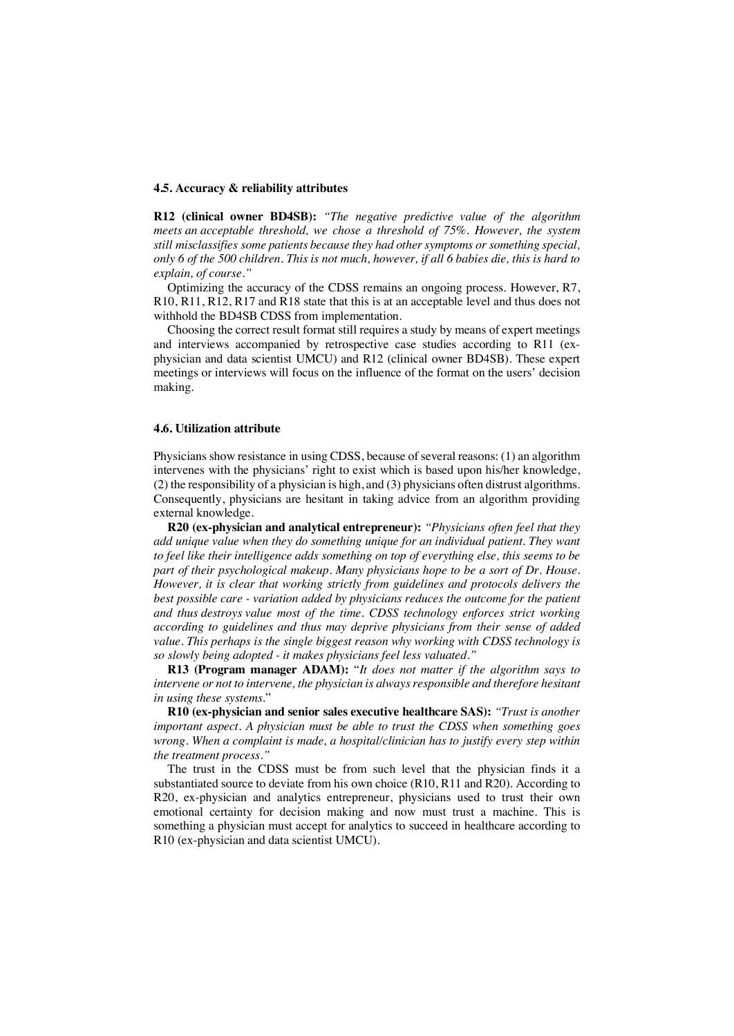#### **4.5. Accuracy & reliability attributes**

**R12 (clinical owner BD4SB):** *"The negative predictive value of the algorithm meets an acceptable threshold, we chose a threshold of 75%. However, the system still misclassifies some patients because they had other symptoms or something special, only 6 of the 500 children. This is not much, however, if all 6 babies die, this is hard to explain, of course."*

Optimizing the accuracy of the CDSS remains an ongoing process. However, R7, R10, R11, R12, R17 and R18 state that this is at an acceptable level and thus does not withhold the BD4SB CDSS from implementation.

Choosing the correct result format still requires a study by means of expert meetings and interviews accompanied by retrospective case studies according to R11 (exphysician and data scientist UMCU) and R12 (clinical owner BD4SB). These expert meetings or interviews will focus on the influence of the format on the users' decision making.

#### **4.6. Utilization attribute**

Physicians show resistance in using CDSS, because of several reasons: (1) an algorithm intervenes with the physicians' right to exist which is based upon his/her knowledge, (2) the responsibility of a physician is high, and (3) physicians often distrust algorithms. Consequently, physicians are hesitant in taking advice from an algorithm providing external knowledge.

**R20 (ex-physician and analytical entrepreneur):** *"Physicians often feel that they add unique value when they do something unique for an individual patient. They want to feel like their intelligence adds something on top of everything else, this seems to be part of their psychological makeup. Many physicians hope to be a sort of Dr. House. However, it is clear that working strictly from guidelines and protocols delivers the best possible care - variation added by physicians reduces the outcome for the patient and thus destroys value most of the time. CDSS technology enforces strict working according to guidelines and thus may deprive physicians from their sense of added value. This perhaps is the single biggest reason why working with CDSS technology is so slowly being adopted - it makes physicians feel less valuated."*

**R13 (Program manager ADAM):** "*It does not matter if the algorithm says to intervene or not to intervene, the physician is always responsible and therefore hesitant in using these systems*."

**R10 (ex-physician and senior sales executive healthcare SAS):** *"Trust is another important aspect. A physician must be able to trust the CDSS when something goes wrong. When a complaint is made, a hospital/clinician has to justify every step within the treatment process."*

The trust in the CDSS must be from such level that the physician finds it a substantiated source to deviate from his own choice (R10, R11 and R20). According to R20, ex-physician and analytics entrepreneur, physicians used to trust their own emotional certainty for decision making and now must trust a machine. This is something a physician must accept for analytics to succeed in healthcare according to R10 (ex-physician and data scientist UMCU).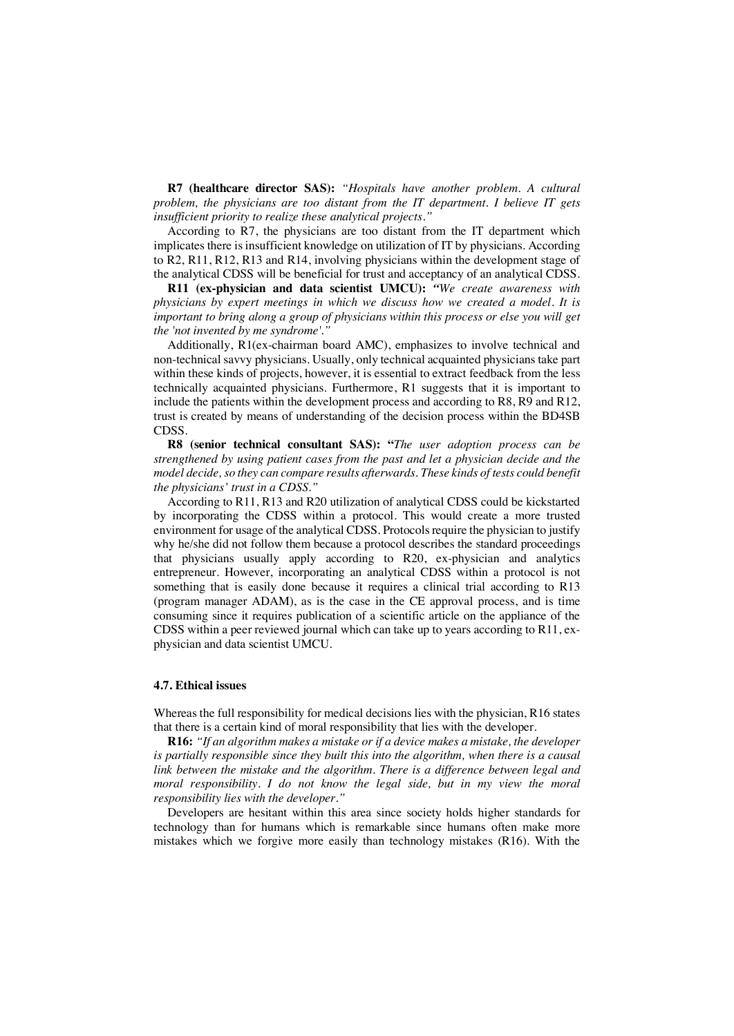**R7 (healthcare director SAS):** *"Hospitals have another problem. A cultural problem, the physicians are too distant from the IT department. I believe IT gets insufficient priority to realize these analytical projects."*

According to R7, the physicians are too distant from the IT department which implicates there is insufficient knowledge on utilization of IT by physicians. According to R2, R11, R12, R13 and R14, involving physicians within the development stage of the analytical CDSS will be beneficial for trust and acceptancy of an analytical CDSS.

**R11 (ex-physician and data scientist UMCU):** *"We create awareness with physicians by expert meetings in which we discuss how we created a model. It is important to bring along a group of physicians within this process or else you will get the 'not invented by me syndrome'.* 

Additionally, R1(ex-chairman board AMC), emphasizes to involve technical and non-technical savvy physicians. Usually, only technical acquainted physicians take part within these kinds of projects, however, it is essential to extract feedback from the less technically acquainted physicians. Furthermore, R1 suggests that it is important to include the patients within the development process and according to R8, R9 and R12, trust is created by means of understanding of the decision process within the BD4SB CDSS.

**R8 (senior technical consultant SAS): "***The user adoption process can be strengthened by using patient cases from the past and let a physician decide and the model decide, so they can compare results afterwards. These kinds of tests could benefit the physicians' trust in a CDSS."* 

According to R11, R13 and R20 utilization of analytical CDSS could be kickstarted by incorporating the CDSS within a protocol. This would create a more trusted environment for usage of the analytical CDSS. Protocols require the physician to justify why he/she did not follow them because a protocol describes the standard proceedings that physicians usually apply according to R20, ex-physician and analytics entrepreneur. However, incorporating an analytical CDSS within a protocol is not something that is easily done because it requires a clinical trial according to R13 (program manager ADAM), as is the case in the CE approval process, and is time consuming since it requires publication of a scientific article on the appliance of the CDSS within a peer reviewed journal which can take up to years according to R11, exphysician and data scientist UMCU.

## **4.7. Ethical issues**

Whereas the full responsibility for medical decisions lies with the physician, R16 states that there is a certain kind of moral responsibility that lies with the developer.

**R16:** *"If an algorithm makes a mistake or if a device makes a mistake, the developer is partially responsible since they built this into the algorithm, when there is a causal link between the mistake and the algorithm. There is a difference between legal and moral responsibility. I do not know the legal side, but in my view the moral responsibility lies with the developer."*

Developers are hesitant within this area since society holds higher standards for technology than for humans which is remarkable since humans often make more mistakes which we forgive more easily than technology mistakes (R16). With the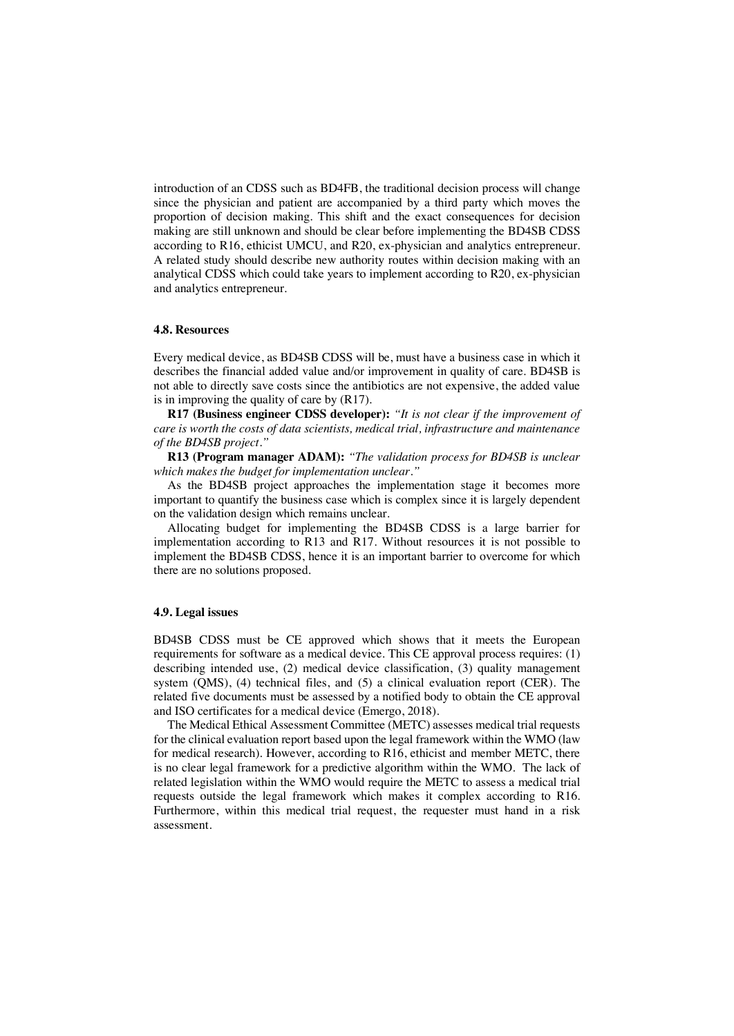introduction of an CDSS such as BD4FB, the traditional decision process will change since the physician and patient are accompanied by a third party which moves the proportion of decision making. This shift and the exact consequences for decision making are still unknown and should be clear before implementing the BD4SB CDSS according to R16, ethicist UMCU, and R20, ex-physician and analytics entrepreneur. A related study should describe new authority routes within decision making with an analytical CDSS which could take years to implement according to R20, ex-physician and analytics entrepreneur.

# **4.8. Resources**

Every medical device, as BD4SB CDSS will be, must have a business case in which it describes the financial added value and/or improvement in quality of care. BD4SB is not able to directly save costs since the antibiotics are not expensive, the added value is in improving the quality of care by (R17).

**R17 (Business engineer CDSS developer):** *"It is not clear if the improvement of care is worth the costs of data scientists, medical trial, infrastructure and maintenance of the BD4SB project."*

**R13 (Program manager ADAM):** *"The validation process for BD4SB is unclear which makes the budget for implementation unclear."* 

As the BD4SB project approaches the implementation stage it becomes more important to quantify the business case which is complex since it is largely dependent on the validation design which remains unclear.

Allocating budget for implementing the BD4SB CDSS is a large barrier for implementation according to R13 and R17. Without resources it is not possible to implement the BD4SB CDSS, hence it is an important barrier to overcome for which there are no solutions proposed.

## **4.9. Legal issues**

BD4SB CDSS must be CE approved which shows that it meets the European requirements for software as a medical device. This CE approval process requires: (1) describing intended use, (2) medical device classification, (3) quality management system (QMS), (4) technical files, and (5) a clinical evaluation report (CER). The related five documents must be assessed by a notified body to obtain the CE approval and ISO certificates for a medical device (Emergo, 2018).

The Medical Ethical Assessment Committee (METC) assesses medical trial requests for the clinical evaluation report based upon the legal framework within the WMO (law for medical research). However, according to R16, ethicist and member METC, there is no clear legal framework for a predictive algorithm within the WMO. The lack of related legislation within the WMO would require the METC to assess a medical trial requests outside the legal framework which makes it complex according to R16. Furthermore, within this medical trial request, the requester must hand in a risk assessment.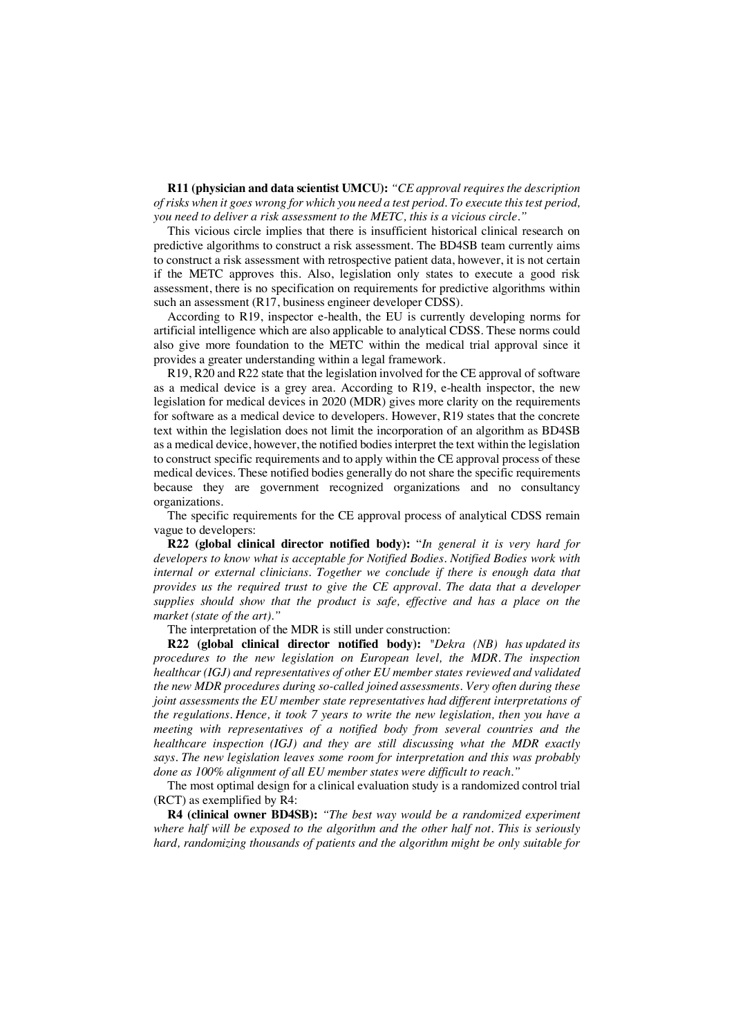**R11 (physician and data scientist UMCU):** *"CE approval requires the description of risks when it goes wrong for which you need a test period. To execute this test period, you need to deliver a risk assessment to the METC, this is a vicious circle."*

This vicious circle implies that there is insufficient historical clinical research on predictive algorithms to construct a risk assessment. The BD4SB team currently aims to construct a risk assessment with retrospective patient data, however, it is not certain if the METC approves this. Also, legislation only states to execute a good risk assessment, there is no specification on requirements for predictive algorithms within such an assessment (R17, business engineer developer CDSS).

According to R19, inspector e-health, the EU is currently developing norms for artificial intelligence which are also applicable to analytical CDSS. These norms could also give more foundation to the METC within the medical trial approval since it provides a greater understanding within a legal framework.

R19, R20 and R22 state that the legislation involved for the CE approval of software as a medical device is a grey area. According to R19, e-health inspector, the new legislation for medical devices in 2020 (MDR) gives more clarity on the requirements for software as a medical device to developers. However, R19 states that the concrete text within the legislation does not limit the incorporation of an algorithm as BD4SB as a medical device, however, the notified bodies interpret the text within the legislation to construct specific requirements and to apply within the CE approval process of these medical devices. These notified bodies generally do not share the specific requirements because they are government recognized organizations and no consultancy organizations.

The specific requirements for the CE approval process of analytical CDSS remain vague to developers:

**R22 (global clinical director notified body):** "*In general it is very hard for developers to know what is acceptable for Notified Bodies. Notified Bodies work with internal or external clinicians. Together we conclude if there is enough data that provides us the required trust to give the CE approval. The data that a developer supplies should show that the product is safe, effective and has a place on the market (state of the art)."*

The interpretation of the MDR is still under construction:

**R22 (global clinical director notified body):** *"Dekra (NB) has updated its procedures to the new legislation on European level, the MDR. The inspection healthcar (IGJ) and representatives of other EU member states reviewed and validated the new MDR procedures during so-called joined assessments. Very often during these joint assessments the EU member state representatives had different interpretations of the regulations. Hence, it took 7 years to write the new legislation, then you have a meeting with representatives of a notified body from several countries and the healthcare inspection (IGJ) and they are still discussing what the MDR exactly says. The new legislation leaves some room for interpretation and this was probably done as 100% alignment of all EU member states were difficult to reach."*

The most optimal design for a clinical evaluation study is a randomized control trial (RCT) as exemplified by R4:

**R4 (clinical owner BD4SB):** *"The best way would be a randomized experiment where half will be exposed to the algorithm and the other half not. This is seriously hard, randomizing thousands of patients and the algorithm might be only suitable for*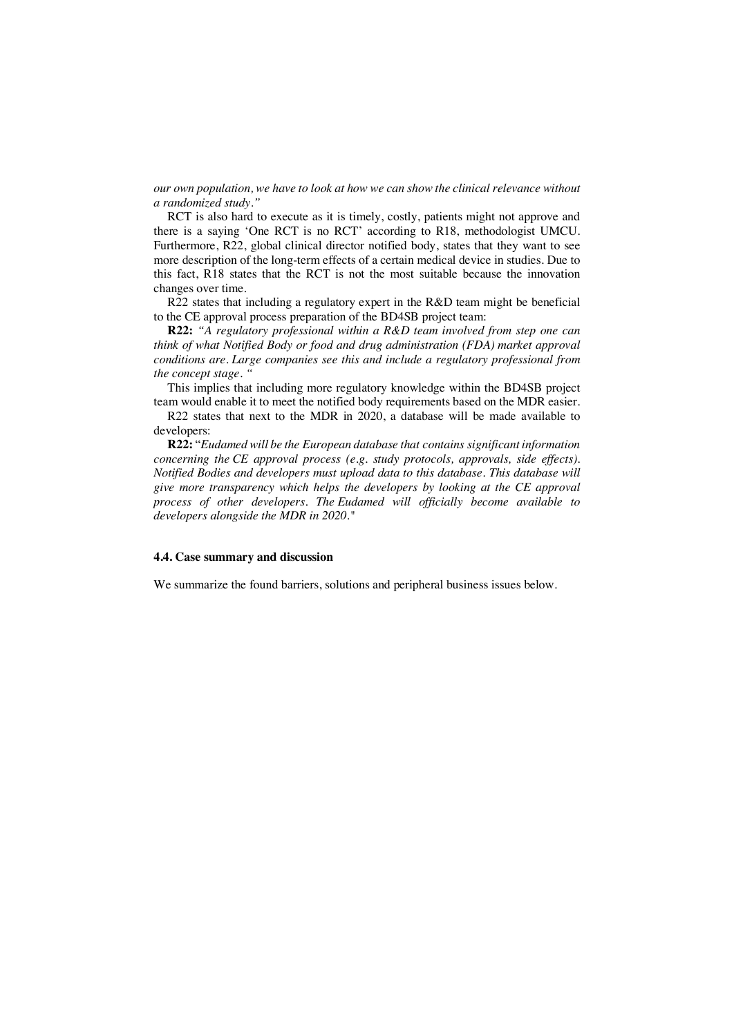*our own population, we have to look at how we can show the clinical relevance without a randomized study."*

RCT is also hard to execute as it is timely, costly, patients might not approve and there is a saying 'One RCT is no RCT' according to R18, methodologist UMCU. Furthermore, R22, global clinical director notified body, states that they want to see more description of the long-term effects of a certain medical device in studies. Due to this fact, R18 states that the RCT is not the most suitable because the innovation changes over time.

R22 states that including a regulatory expert in the R&D team might be beneficial to the CE approval process preparation of the BD4SB project team:

**R22:** *"A regulatory professional within a R&D team involved from step one can think of what Notified Body or food and drug administration (FDA) market approval conditions are. Large companies see this and include a regulatory professional from the concept stage. "*

This implies that including more regulatory knowledge within the BD4SB project team would enable it to meet the notified body requirements based on the MDR easier.

R22 states that next to the MDR in 2020, a database will be made available to developers:

**R22:** "*Eudamed will be the European database that contains significant information concerning the CE approval process (e.g. study protocols, approvals, side effects). Notified Bodies and developers must upload data to this database. This database will give more transparency which helps the developers by looking at the CE approval process of other developers. The Eudamed will officially become available to developers alongside the MDR in 2020."*

### **4.4. Case summary and discussion**

We summarize the found barriers, solutions and peripheral business issues below.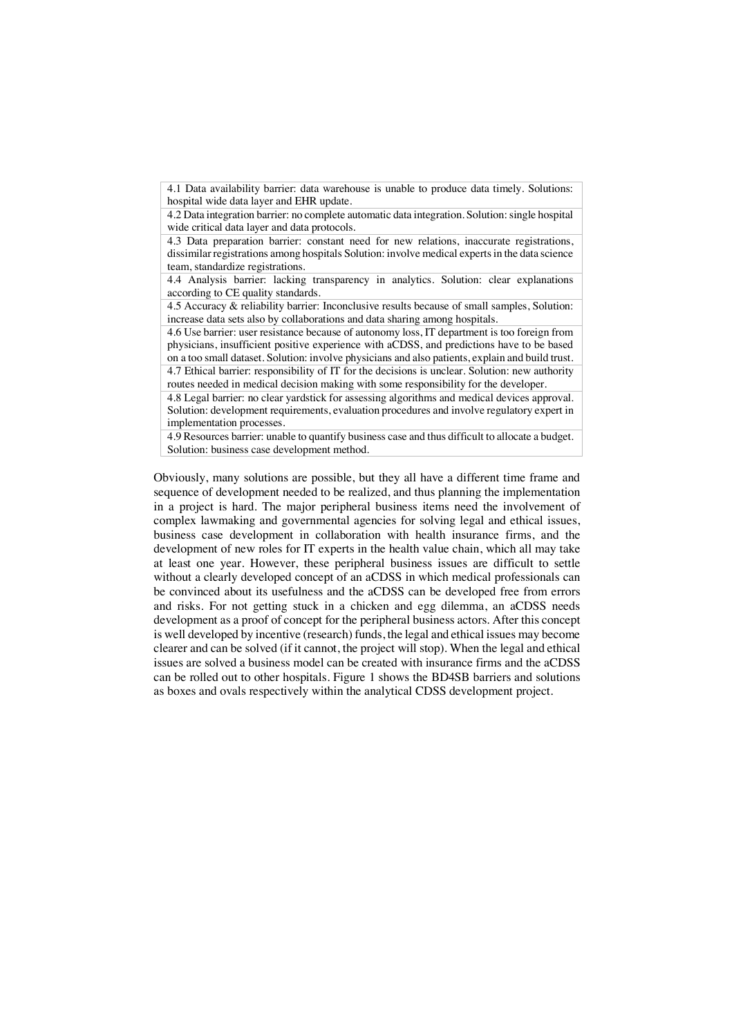4.1 Data availability barrier: data warehouse is unable to produce data timely. Solutions: hospital wide data layer and EHR update.

4.2 Data integration barrier: no complete automatic data integration. Solution: single hospital wide critical data layer and data protocols.

4.3 Data preparation barrier: constant need for new relations, inaccurate registrations, dissimilar registrations among hospitals Solution: involve medical experts in the data science team, standardize registrations.

4.4 Analysis barrier: lacking transparency in analytics. Solution: clear explanations according to CE quality standards.

4.5 Accuracy & reliability barrier: Inconclusive results because of small samples, Solution: increase data sets also by collaborations and data sharing among hospitals.

4.6 Use barrier: user resistance because of autonomy loss, IT department is too foreign from physicians, insufficient positive experience with aCDSS, and predictions have to be based on a too small dataset. Solution: involve physicians and also patients, explain and build trust. 4.7 Ethical barrier: responsibility of IT for the decisions is unclear. Solution: new authority routes needed in medical decision making with some responsibility for the developer.

4.8 Legal barrier: no clear yardstick for assessing algorithms and medical devices approval. Solution: development requirements, evaluation procedures and involve regulatory expert in implementation processes.

4.9 Resources barrier: unable to quantify business case and thus difficult to allocate a budget. Solution: business case development method.

Obviously, many solutions are possible, but they all have a different time frame and sequence of development needed to be realized, and thus planning the implementation in a project is hard. The major peripheral business items need the involvement of complex lawmaking and governmental agencies for solving legal and ethical issues, business case development in collaboration with health insurance firms, and the development of new roles for IT experts in the health value chain, which all may take at least one year. However, these peripheral business issues are difficult to settle without a clearly developed concept of an aCDSS in which medical professionals can be convinced about its usefulness and the aCDSS can be developed free from errors and risks. For not getting stuck in a chicken and egg dilemma, an aCDSS needs development as a proof of concept for the peripheral business actors. After this concept is well developed by incentive (research) funds, the legal and ethical issues may become clearer and can be solved (if it cannot, the project will stop). When the legal and ethical issues are solved a business model can be created with insurance firms and the aCDSS can be rolled out to other hospitals. Figure 1 shows the BD4SB barriers and solutions as boxes and ovals respectively within the analytical CDSS development project.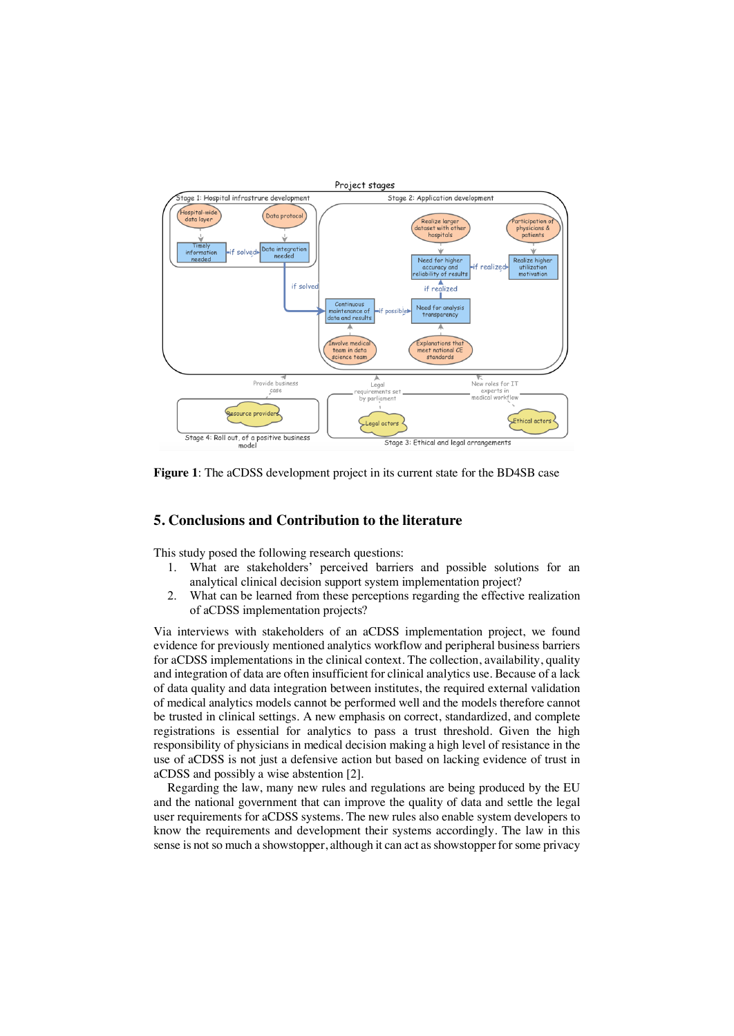

**Figure 1**: The aCDSS development project in its current state for the BD4SB case

# **5. Conclusions and Contribution to the literature**

This study posed the following research questions:

- 1. What are stakeholders' perceived barriers and possible solutions for an analytical clinical decision support system implementation project?
- 2. What can be learned from these perceptions regarding the effective realization of aCDSS implementation projects?

Via interviews with stakeholders of an aCDSS implementation project, we found evidence for previously mentioned analytics workflow and peripheral business barriers for aCDSS implementations in the clinical context. The collection, availability, quality and integration of data are often insufficient for clinical analytics use. Because of a lack of data quality and data integration between institutes, the required external validation of medical analytics models cannot be performed well and the models therefore cannot be trusted in clinical settings. A new emphasis on correct, standardized, and complete registrations is essential for analytics to pass a trust threshold. Given the high responsibility of physicians in medical decision making a high level of resistance in the use of aCDSS is not just a defensive action but based on lacking evidence of trust in aCDSS and possibly a wise abstention [2].

Regarding the law, many new rules and regulations are being produced by the EU and the national government that can improve the quality of data and settle the legal user requirements for aCDSS systems. The new rules also enable system developers to know the requirements and development their systems accordingly. The law in this sense is not so much a showstopper, although it can act as showstopper for some privacy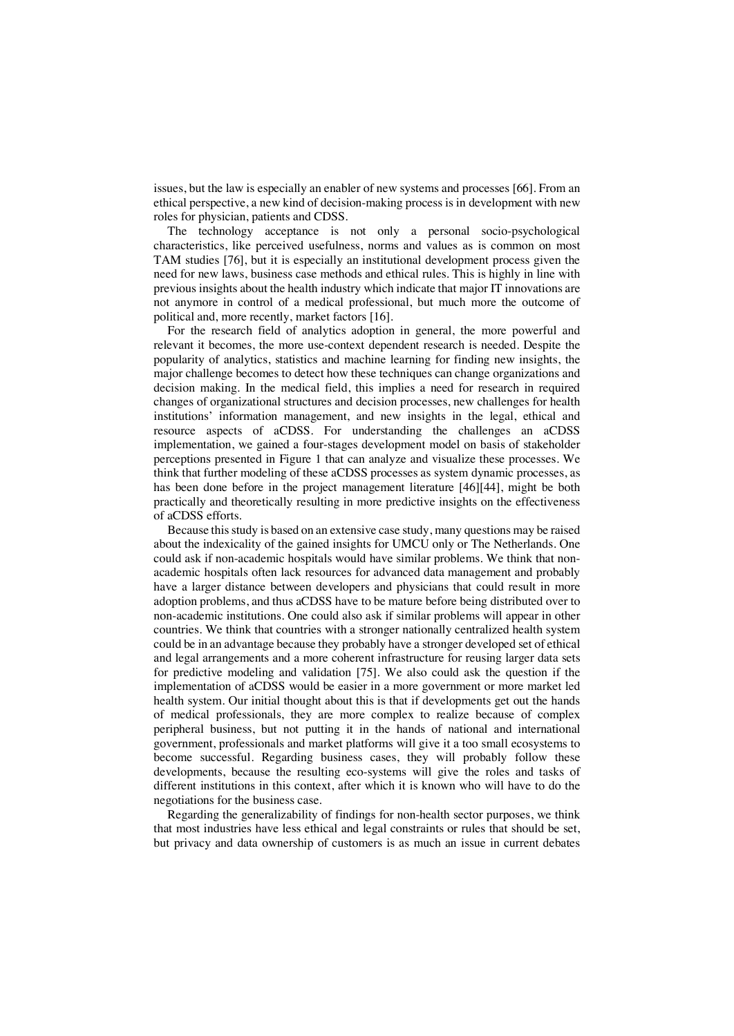issues, but the law is especially an enabler of new systems and processes [66]. From an ethical perspective, a new kind of decision-making process is in development with new roles for physician, patients and CDSS.

The technology acceptance is not only a personal socio-psychological characteristics, like perceived usefulness, norms and values as is common on most TAM studies [76], but it is especially an institutional development process given the need for new laws, business case methods and ethical rules. This is highly in line with previous insights about the health industry which indicate that major IT innovations are not anymore in control of a medical professional, but much more the outcome of political and, more recently, market factors [16].

For the research field of analytics adoption in general, the more powerful and relevant it becomes, the more use-context dependent research is needed. Despite the popularity of analytics, statistics and machine learning for finding new insights, the major challenge becomes to detect how these techniques can change organizations and decision making. In the medical field, this implies a need for research in required changes of organizational structures and decision processes, new challenges for health institutions' information management, and new insights in the legal, ethical and resource aspects of aCDSS. For understanding the challenges an aCDSS implementation, we gained a four-stages development model on basis of stakeholder perceptions presented in Figure 1 that can analyze and visualize these processes. We think that further modeling of these aCDSS processes as system dynamic processes, as has been done before in the project management literature [46][44], might be both practically and theoretically resulting in more predictive insights on the effectiveness of aCDSS efforts.

Because this study is based on an extensive case study, many questions may be raised about the indexicality of the gained insights for UMCU only or The Netherlands. One could ask if non-academic hospitals would have similar problems. We think that nonacademic hospitals often lack resources for advanced data management and probably have a larger distance between developers and physicians that could result in more adoption problems, and thus aCDSS have to be mature before being distributed over to non-academic institutions. One could also ask if similar problems will appear in other countries. We think that countries with a stronger nationally centralized health system could be in an advantage because they probably have a stronger developed set of ethical and legal arrangements and a more coherent infrastructure for reusing larger data sets for predictive modeling and validation [75]. We also could ask the question if the implementation of aCDSS would be easier in a more government or more market led health system. Our initial thought about this is that if developments get out the hands of medical professionals, they are more complex to realize because of complex peripheral business, but not putting it in the hands of national and international government, professionals and market platforms will give it a too small ecosystems to become successful. Regarding business cases, they will probably follow these developments, because the resulting eco-systems will give the roles and tasks of different institutions in this context, after which it is known who will have to do the negotiations for the business case.

Regarding the generalizability of findings for non-health sector purposes, we think that most industries have less ethical and legal constraints or rules that should be set, but privacy and data ownership of customers is as much an issue in current debates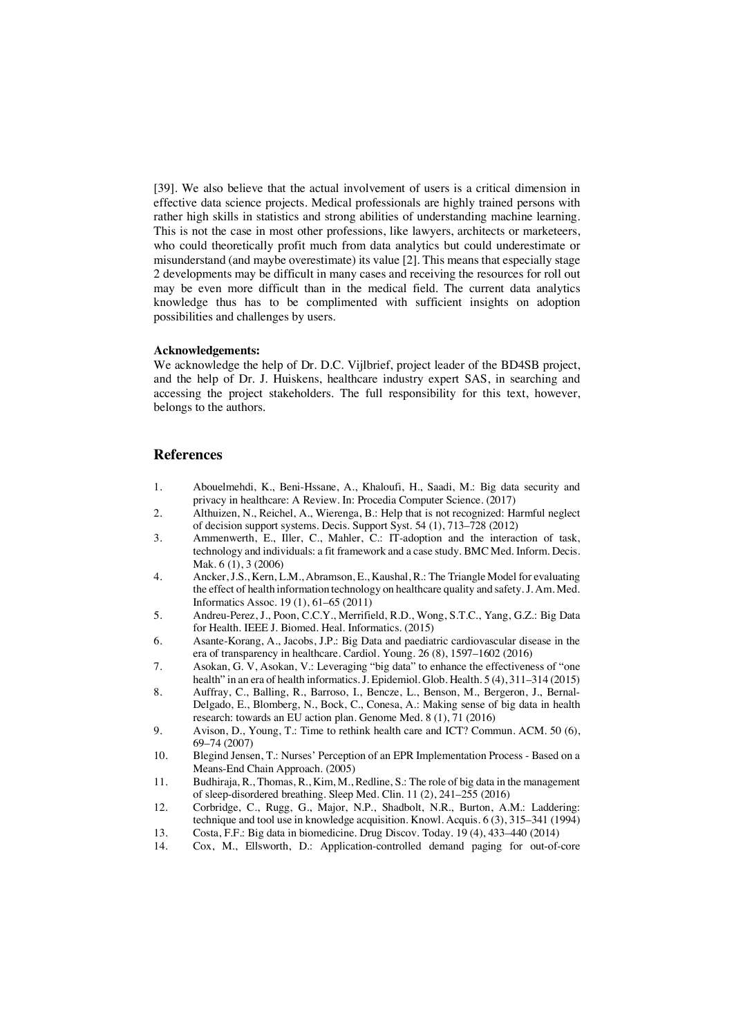[39]. We also believe that the actual involvement of users is a critical dimension in effective data science projects. Medical professionals are highly trained persons with rather high skills in statistics and strong abilities of understanding machine learning. This is not the case in most other professions, like lawyers, architects or marketeers, who could theoretically profit much from data analytics but could underestimate or misunderstand (and maybe overestimate) its value [2]. This means that especially stage 2 developments may be difficult in many cases and receiving the resources for roll out may be even more difficult than in the medical field. The current data analytics knowledge thus has to be complimented with sufficient insights on adoption possibilities and challenges by users.

#### **Acknowledgements:**

We acknowledge the help of Dr. D.C. Vijlbrief, project leader of the BD4SB project, and the help of Dr. J. Huiskens, healthcare industry expert SAS, in searching and accessing the project stakeholders. The full responsibility for this text, however, belongs to the authors.

# **References**

- 1. Abouelmehdi, K., Beni-Hssane, A., Khaloufi, H., Saadi, M.: Big data security and privacy in healthcare: A Review. In: Procedia Computer Science. (2017)
- 2. Althuizen, N., Reichel, A., Wierenga, B.: Help that is not recognized: Harmful neglect of decision support systems. Decis. Support Syst. 54 (1), 713–728 (2012)
- 3. Ammenwerth, E., Iller, C., Mahler, C.: IT-adoption and the interaction of task, technology and individuals: a fit framework and a case study. BMC Med. Inform. Decis. Mak. 6 (1), 3 (2006)
- 4. Ancker, J.S., Kern, L.M., Abramson, E., Kaushal, R.: The Triangle Model for evaluating the effect of health information technology on healthcare quality and safety. J. Am. Med. Informatics Assoc. 19 (1), 61–65 (2011)
- 5. Andreu-Perez, J., Poon, C.C.Y., Merrifield, R.D., Wong, S.T.C., Yang, G.Z.: Big Data for Health. IEEE J. Biomed. Heal. Informatics. (2015)
- 6. Asante-Korang, A., Jacobs, J.P.: Big Data and paediatric cardiovascular disease in the era of transparency in healthcare. Cardiol. Young. 26 (8), 1597–1602 (2016)
- 7. Asokan, G. V, Asokan, V.: Leveraging "big data" to enhance the effectiveness of "one health" in an era of health informatics. J. Epidemiol. Glob. Health. 5 (4), 311–314 (2015)
- 8. Auffray, C., Balling, R., Barroso, I., Bencze, L., Benson, M., Bergeron, J., Bernal-Delgado, E., Blomberg, N., Bock, C., Conesa, A.: Making sense of big data in health research: towards an EU action plan. Genome Med. 8 (1), 71 (2016)
- 9. Avison, D., Young, T.: Time to rethink health care and ICT? Commun. ACM. 50 (6), 69–74 (2007)
- 10. Blegind Jensen, T.: Nurses' Perception of an EPR Implementation Process Based on a Means-End Chain Approach. (2005)
- 11. Budhiraja, R., Thomas, R., Kim, M., Redline, S.: The role of big data in the management of sleep-disordered breathing. Sleep Med. Clin. 11 (2), 241–255 (2016)
- 12. Corbridge, C., Rugg, G., Major, N.P., Shadbolt, N.R., Burton, A.M.: Laddering: technique and tool use in knowledge acquisition. Knowl. Acquis. 6 (3), 315–341 (1994)
- 13. Costa, F.F.: Big data in biomedicine. Drug Discov. Today. 19 (4), 433–440 (2014)
- Cox, M., Ellsworth, D.: Application-controlled demand paging for out-of-core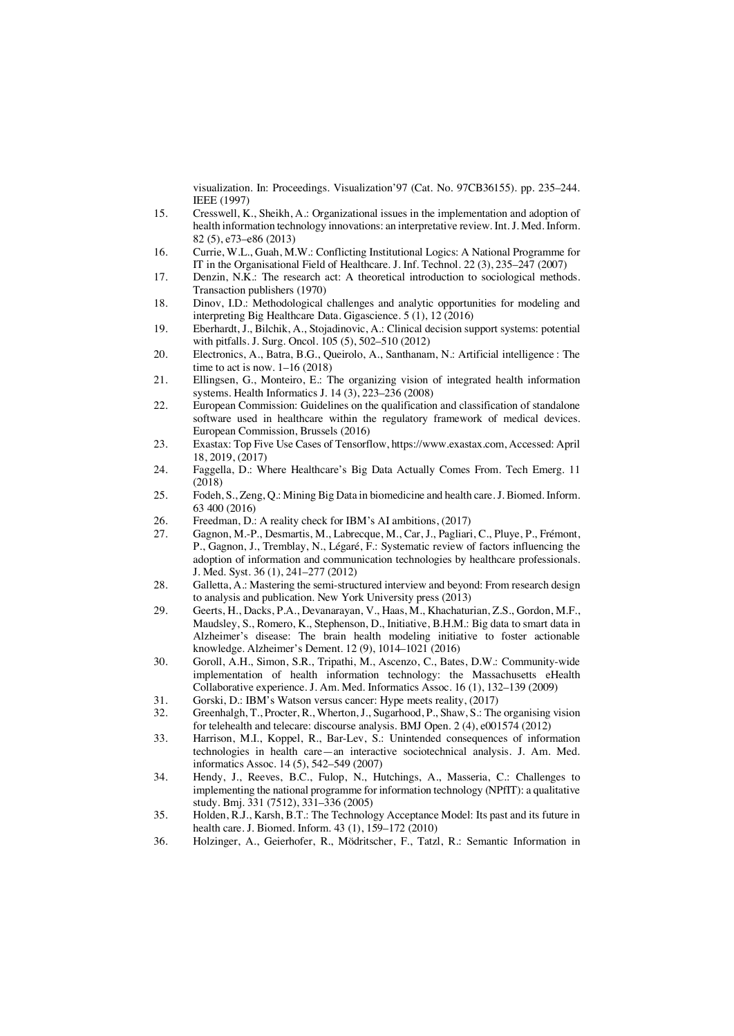visualization. In: Proceedings. Visualization'97 (Cat. No. 97CB36155). pp. 235–244. IEEE (1997)

- 15. Cresswell, K., Sheikh, A.: Organizational issues in the implementation and adoption of health information technology innovations: an interpretative review. Int. J. Med. Inform. 82 (5), e73–e86 (2013)
- 16. Currie, W.L., Guah, M.W.: Conflicting Institutional Logics: A National Programme for IT in the Organisational Field of Healthcare. J. Inf. Technol. 22 (3), 235–247 (2007)
- 17. Denzin, N.K.: The research act: A theoretical introduction to sociological methods. Transaction publishers (1970)
- 18. Dinov, I.D.: Methodological challenges and analytic opportunities for modeling and interpreting Big Healthcare Data. Gigascience. 5 (1), 12 (2016)
- 19. Eberhardt, J., Bilchik, A., Stojadinovic, A.: Clinical decision support systems: potential with pitfalls. J. Surg. Oncol. 105 (5), 502–510 (2012)
- 20. Electronics, A., Batra, B.G., Queirolo, A., Santhanam, N.: Artificial intelligence : The time to act is now. 1–16 (2018)
- 21. Ellingsen, G., Monteiro, E.: The organizing vision of integrated health information systems. Health Informatics J. 14 (3), 223–236 (2008)
- 22. European Commission: Guidelines on the qualification and classification of standalone software used in healthcare within the regulatory framework of medical devices. European Commission, Brussels (2016)
- 23. Exastax: Top Five Use Cases of Tensorflow, https://www.exastax.com, Accessed: April 18, 2019, (2017)
- 24. Faggella, D.: Where Healthcare's Big Data Actually Comes From. Tech Emerg. 11 (2018)
- 25. Fodeh, S., Zeng, Q.: Mining Big Data in biomedicine and health care. J. Biomed. Inform. 63 400 (2016)
- 26. Freedman, D.: A reality check for IBM's AI ambitions, (2017)<br>27. Gagnon, M.-P., Desmartis, M., Labrecque, M., Car, J., Pagliari
- Gagnon, M.-P., Desmartis, M., Labrecque, M., Car, J., Pagliari, C., Pluye, P., Frémont, P., Gagnon, J., Tremblay, N., Légaré, F.: Systematic review of factors influencing the adoption of information and communication technologies by healthcare professionals. J. Med. Syst. 36 (1), 241–277 (2012)
- 28. Galletta, A.: Mastering the semi-structured interview and beyond: From research design to analysis and publication. New York University press (2013)
- 29. Geerts, H., Dacks, P.A., Devanarayan, V., Haas, M., Khachaturian, Z.S., Gordon, M.F., Maudsley, S., Romero, K., Stephenson, D., Initiative, B.H.M.: Big data to smart data in Alzheimer's disease: The brain health modeling initiative to foster actionable knowledge. Alzheimer's Dement. 12 (9), 1014–1021 (2016)
- 30. Goroll, A.H., Simon, S.R., Tripathi, M., Ascenzo, C., Bates, D.W.: Community-wide implementation of health information technology: the Massachusetts eHealth Collaborative experience. J. Am. Med. Informatics Assoc. 16 (1), 132–139 (2009)
- 31. Gorski, D.: IBM's Watson versus cancer: Hype meets reality, (2017)<br>32 Greenhalgh T. Procter R. Wherton J. Sugarhood P. Shaw S.: The
- Greenhalgh, T., Procter, R., Wherton, J., Sugarhood, P., Shaw, S.: The organising vision for telehealth and telecare: discourse analysis. BMJ Open. 2 (4), e001574 (2012)
- 33. Harrison, M.I., Koppel, R., Bar-Lev, S.: Unintended consequences of information technologies in health care—an interactive sociotechnical analysis. J. Am. Med. informatics Assoc. 14 (5), 542–549 (2007)
- 34. Hendy, J., Reeves, B.C., Fulop, N., Hutchings, A., Masseria, C.: Challenges to implementing the national programme for information technology (NPfIT): a qualitative study. Bmj. 331 (7512), 331–336 (2005)
- 35. Holden, R.J., Karsh, B.T.: The Technology Acceptance Model: Its past and its future in health care. J. Biomed. Inform. 43 (1), 159–172 (2010)
- 36. Holzinger, A., Geierhofer, R., Mödritscher, F., Tatzl, R.: Semantic Information in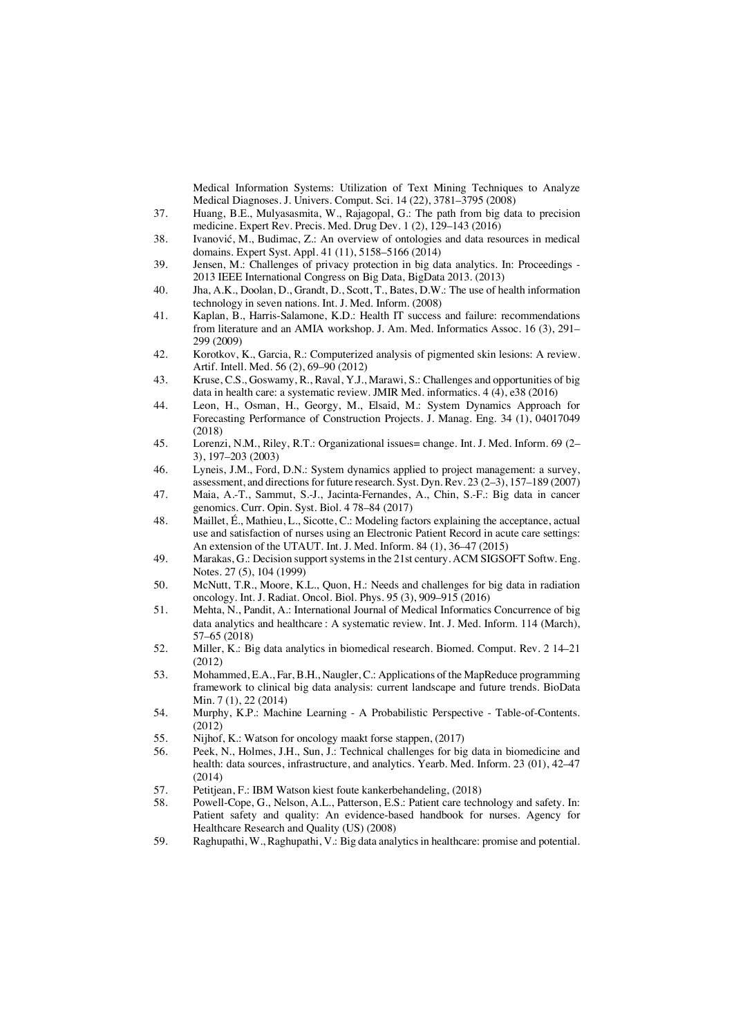Medical Information Systems: Utilization of Text Mining Techniques to Analyze Medical Diagnoses. J. Univers. Comput. Sci. 14 (22), 3781–3795 (2008)

- 37. Huang, B.E., Mulyasasmita, W., Rajagopal, G.: The path from big data to precision medicine. Expert Rev. Precis. Med. Drug Dev. 1 (2), 129–143 (2016)
- 38. Ivanović, M., Budimac, Z.: An overview of ontologies and data resources in medical domains. Expert Syst. Appl. 41 (11), 5158–5166 (2014)
- 39. Jensen, M.: Challenges of privacy protection in big data analytics. In: Proceedings 2013 IEEE International Congress on Big Data, BigData 2013. (2013)
- 40. Jha, A.K., Doolan, D., Grandt, D., Scott, T., Bates, D.W.: The use of health information technology in seven nations. Int. J. Med. Inform. (2008)
- 41. Kaplan, B., Harris-Salamone, K.D.: Health IT success and failure: recommendations from literature and an AMIA workshop. J. Am. Med. Informatics Assoc. 16 (3), 291– 299 (2009)
- 42. Korotkov, K., Garcia, R.: Computerized analysis of pigmented skin lesions: A review. Artif. Intell. Med. 56 (2), 69–90 (2012)
- 43. Kruse, C.S., Goswamy, R., Raval, Y.J., Marawi, S.: Challenges and opportunities of big data in health care: a systematic review. JMIR Med. informatics. 4 (4), e38 (2016)
- 44. Leon, H., Osman, H., Georgy, M., Elsaid, M.: System Dynamics Approach for Forecasting Performance of Construction Projects. J. Manag. Eng. 34 (1), 04017049 (2018)
- 45. Lorenzi, N.M., Riley, R.T.: Organizational issues= change. Int. J. Med. Inform. 69 (2– 3), 197–203 (2003)
- 46. Lyneis, J.M., Ford, D.N.: System dynamics applied to project management: a survey, assessment, and directions for future research. Syst. Dyn. Rev. 23 (2–3), 157–189 (2007)
- 47. Maia, A.-T., Sammut, S.-J., Jacinta-Fernandes, A., Chin, S.-F.: Big data in cancer genomics. Curr. Opin. Syst. Biol. 4 78–84 (2017)
- 48. Maillet, É., Mathieu, L., Sicotte, C.: Modeling factors explaining the acceptance, actual use and satisfaction of nurses using an Electronic Patient Record in acute care settings: An extension of the UTAUT. Int. J. Med. Inform. 84 (1), 36–47 (2015)
- 49. Marakas, G.: Decision support systems in the 21st century. ACM SIGSOFT Softw. Eng. Notes. 27 (5), 104 (1999)
- 50. McNutt, T.R., Moore, K.L., Quon, H.: Needs and challenges for big data in radiation oncology. Int. J. Radiat. Oncol. Biol. Phys. 95 (3), 909–915 (2016)
- 51. Mehta, N., Pandit, A.: International Journal of Medical Informatics Concurrence of big data analytics and healthcare : A systematic review. Int. J. Med. Inform. 114 (March), 57–65 (2018)
- 52. Miller, K.: Big data analytics in biomedical research. Biomed. Comput. Rev. 2 14–21 (2012)
- 53. Mohammed, E.A., Far, B.H., Naugler, C.: Applications of the MapReduce programming framework to clinical big data analysis: current landscape and future trends. BioData Min. 7 (1), 22 (2014)
- 54. Murphy, K.P.: Machine Learning A Probabilistic Perspective Table-of-Contents. (2012)
- 55. Nijhof, K.: Watson for oncology maakt forse stappen, (2017)
- 56. Peek, N., Holmes, J.H., Sun, J.: Technical challenges for big data in biomedicine and health: data sources, infrastructure, and analytics. Yearb. Med. Inform. 23 (01), 42–47 (2014)
- 57. Petitjean, F.: IBM Watson kiest foute kankerbehandeling, (2018)<br>58 Powell-Cone G. Nelson, A. L. Patterson, E.S.: Patient care techn
- Powell-Cope, G., Nelson, A.L., Patterson, E.S.: Patient care technology and safety. In: Patient safety and quality: An evidence-based handbook for nurses. Agency for Healthcare Research and Quality (US) (2008)
- 59. Raghupathi, W., Raghupathi, V.: Big data analytics in healthcare: promise and potential.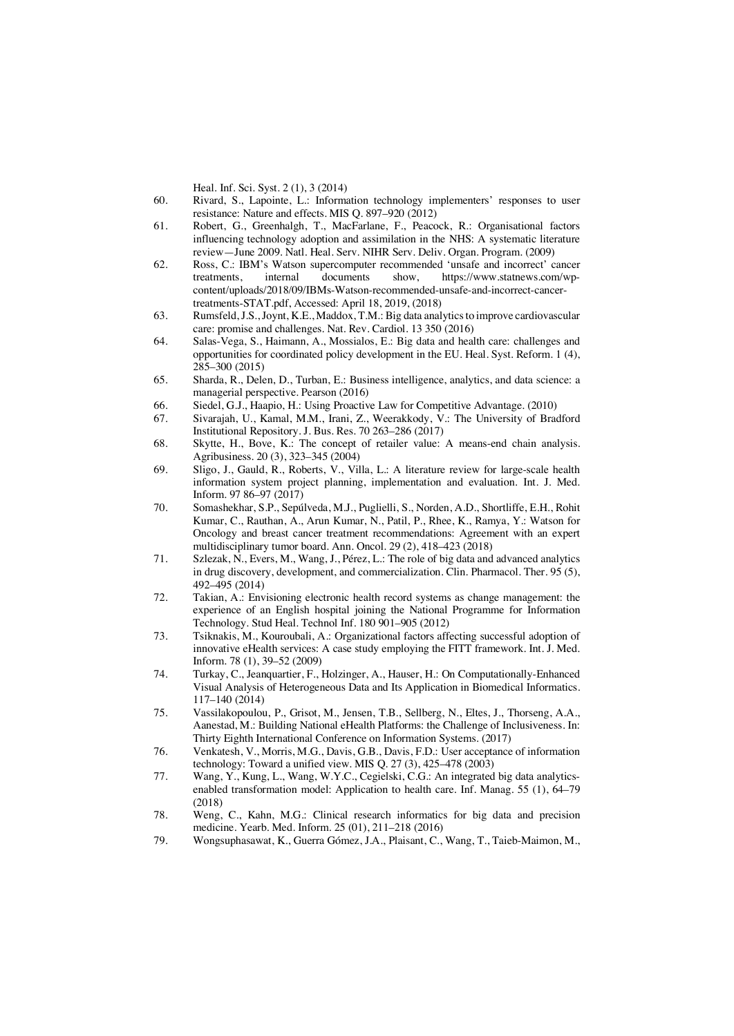Heal. Inf. Sci. Syst. 2 (1), 3 (2014)

- 60. Rivard, S., Lapointe, L.: Information technology implementers' responses to user resistance: Nature and effects. MIS Q. 897–920 (2012)
- 61. Robert, G., Greenhalgh, T., MacFarlane, F., Peacock, R.: Organisational factors influencing technology adoption and assimilation in the NHS: A systematic literature review—June 2009. Natl. Heal. Serv. NIHR Serv. Deliv. Organ. Program. (2009)
- 62. Ross, C.: IBM's Watson supercomputer recommended 'unsafe and incorrect' cancer<br>treatments. internal documents show. https://www.statnews.com/wpinternal documents show, https://www.statnews.com/wpcontent/uploads/2018/09/IBMs-Watson-recommended-unsafe-and-incorrect-cancertreatments-STAT.pdf, Accessed: April 18, 2019, (2018)
- 63. Rumsfeld, J.S., Joynt, K.E., Maddox, T.M.: Big data analytics to improve cardiovascular care: promise and challenges. Nat. Rev. Cardiol. 13 350 (2016)
- 64. Salas-Vega, S., Haimann, A., Mossialos, E.: Big data and health care: challenges and opportunities for coordinated policy development in the EU. Heal. Syst. Reform. 1 (4),  $285 - 300 (2015)$
- 65. Sharda, R., Delen, D., Turban, E.: Business intelligence, analytics, and data science: a managerial perspective. Pearson (2016)
- 66. Siedel, G.J., Haapio, H.: Using Proactive Law for Competitive Advantage. (2010)
- 67. Sivarajah, U., Kamal, M.M., Irani, Z., Weerakkody, V.: The University of Bradford Institutional Repository. J. Bus. Res. 70 263–286 (2017)
- 68. Skytte, H., Bove, K.: The concept of retailer value: A means-end chain analysis. Agribusiness. 20 (3), 323–345 (2004)
- 69. Sligo, J., Gauld, R., Roberts, V., Villa, L.: A literature review for large-scale health information system project planning, implementation and evaluation. Int. J. Med. Inform. 97 86–97 (2017)
- 70. Somashekhar, S.P., Sepúlveda, M.J., Puglielli, S., Norden, A.D., Shortliffe, E.H., Rohit Kumar, C., Rauthan, A., Arun Kumar, N., Patil, P., Rhee, K., Ramya, Y.: Watson for Oncology and breast cancer treatment recommendations: Agreement with an expert multidisciplinary tumor board. Ann. Oncol. 29 (2), 418–423 (2018)
- 71. Szlezak, N., Evers, M., Wang, J., Pérez, L.: The role of big data and advanced analytics in drug discovery, development, and commercialization. Clin. Pharmacol. Ther. 95 (5), 492–495 (2014)
- 72. Takian, A.: Envisioning electronic health record systems as change management: the experience of an English hospital joining the National Programme for Information Technology. Stud Heal. Technol Inf. 180 901–905 (2012)
- 73. Tsiknakis, M., Kouroubali, A.: Organizational factors affecting successful adoption of innovative eHealth services: A case study employing the FITT framework. Int. J. Med. Inform. 78 (1), 39–52 (2009)
- 74. Turkay, C., Jeanquartier, F., Holzinger, A., Hauser, H.: On Computationally-Enhanced Visual Analysis of Heterogeneous Data and Its Application in Biomedical Informatics. 117–140 (2014)
- 75. Vassilakopoulou, P., Grisot, M., Jensen, T.B., Sellberg, N., Eltes, J., Thorseng, A.A., Aanestad, M.: Building National eHealth Platforms: the Challenge of Inclusiveness. In: Thirty Eighth International Conference on Information Systems. (2017)
- 76. Venkatesh, V., Morris, M.G., Davis, G.B., Davis, F.D.: User acceptance of information technology: Toward a unified view. MIS Q. 27 (3), 425–478 (2003)
- 77. Wang, Y., Kung, L., Wang, W.Y.C., Cegielski, C.G.: An integrated big data analyticsenabled transformation model: Application to health care. Inf. Manag. 55 (1), 64–79 (2018)
- 78. Weng, C., Kahn, M.G.: Clinical research informatics for big data and precision medicine. Yearb. Med. Inform. 25 (01), 211–218 (2016)
- 79. Wongsuphasawat, K., Guerra Gómez, J.A., Plaisant, C., Wang, T., Taieb-Maimon, M.,